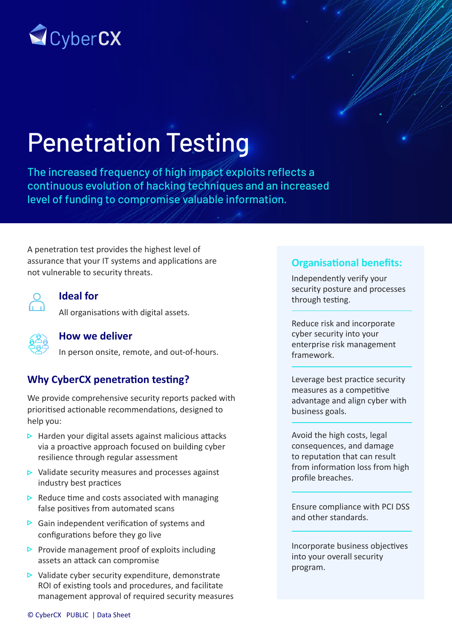

# Penetration Testing

The increased frequency of high impact exploits reflects a continuous evolution of hacking techniques and an increased level of funding to compromise valuable information.

A penetration test provides the highest level of assurance that your IT systems and applications are not vulnerable to security threats.



## **Ideal for**

All organisations with digital assets.



#### **How we deliver**

In person onsite, remote, and out-of-hours.

# **Why CyberCX penetration testing?**

We provide comprehensive security reports packed with prioritised actionable recommendations, designed to help you:

- $\triangleright$  Harden your digital assets against malicious attacks via a proactive approach focused on building cyber resilience through regular assessment
- $\triangleright$  Validate security measures and processes against industry best practices
- $\triangleright$  Reduce time and costs associated with managing false positives from automated scans
- $\triangleright$  Gain independent verification of systems and configurations before they go live
- Provide management proof of exploits including assets an attack can compromise
- $\triangleright$  Validate cyber security expenditure, demonstrate ROI of existing tools and procedures, and facilitate management approval of required security measures

### **Organisational benefits:**

Independently verify your security posture and processes through testing.

Reduce risk and incorporate cyber security into your enterprise risk management framework.

Leverage best practice security measures as a competitive advantage and align cyber with business goals.

Avoid the high costs, legal consequences, and damage to reputation that can result from information loss from high profile breaches.

Ensure compliance with PCI DSS and other standards.

Incorporate business objectives into your overall security program.